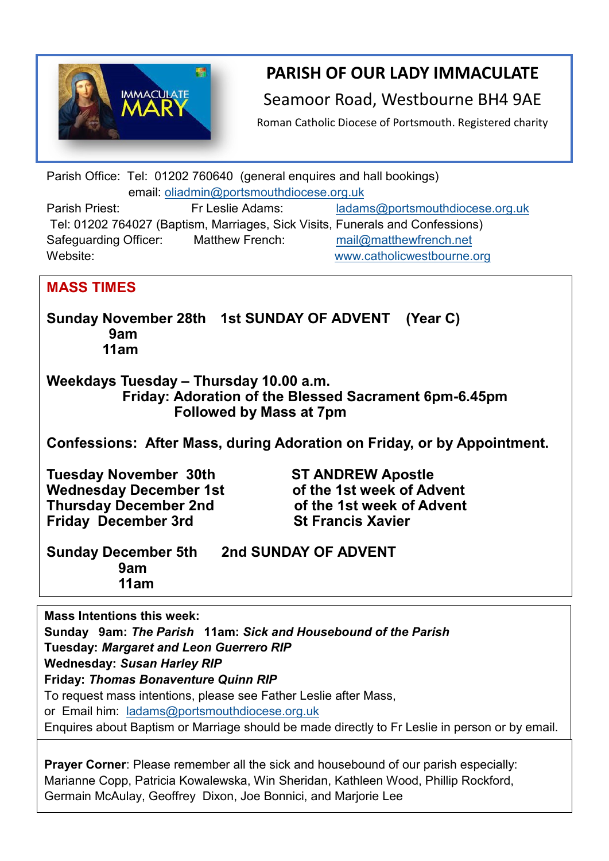

**PARISH OF OUR LADY IMMACULATE** 

Seamoor Road, Westbourne BH4 9AE

Roman Catholic Diocese of Portsmouth. Registered charity

Parish Office: Tel: 01202 760640 (general enquires and hall bookings) email: [oliadmin@portsmouthdiocese.org.uk](about:blank) Parish Priest: Fr Leslie Adams: [ladams@portsmouthdiocese.org.uk](mailto:ladams@portsmouthdiocese.org.uk)

Tel: 01202 764027 (Baptism, Marriages, Sick Visits, Funerals and Confessions) Safeguarding Officer: Matthew French: [mail@matthewfrench.net](about:blank)  Website: [www.catholicwestbourne.org](about:blank)

## **MASS TIMES**

**Sunday November 28th 1st SUNDAY OF ADVENT (Year C) 9am 11am**

**Weekdays Tuesday – Thursday 10.00 a.m. Friday: Adoration of the Blessed Sacrament 6pm-6.45pm Followed by Mass at 7pm**

**Confessions: After Mass, during Adoration on Friday, or by Appointment.**

**Tuesday November 30th ST ANDREW Apostle** Wednesday December 1st **of the 1st week of Advent Thursday December 2nd of the 1st week of Advent Friday December 3rd St Francis Xavier** 

| <b>Sunday December 5th</b> | <b>2nd SUNDAY OF ADVENT</b> |
|----------------------------|-----------------------------|
| 9am                        |                             |
| 11am                       |                             |

**Mass Intentions this week:** 

**Sunday 9am:** *The Parish* **11am:** *Sick and Housebound of the Parish* **Tuesday:** *Margaret and Leon Guerrero RIP* **Wednesday:** *Susan Harley RIP* **Friday:** *Thomas Bonaventure Quinn RIP*  To request mass intentions, please see Father Leslie after Mass, or Email him: [ladams@portsmouthdiocese.org.uk](mailto:ladams@portsmouthdiocese.org.uk)

Enquires about Baptism or Marriage should be made directly to Fr Leslie in person or by email.

**Prayer Corner:** Please remember all the sick and housebound of our parish especially: Marianne Copp, Patricia Kowalewska, Win Sheridan, Kathleen Wood, Phillip Rockford, Germain McAulay, Geoffrey Dixon, Joe Bonnici, and Marjorie Lee